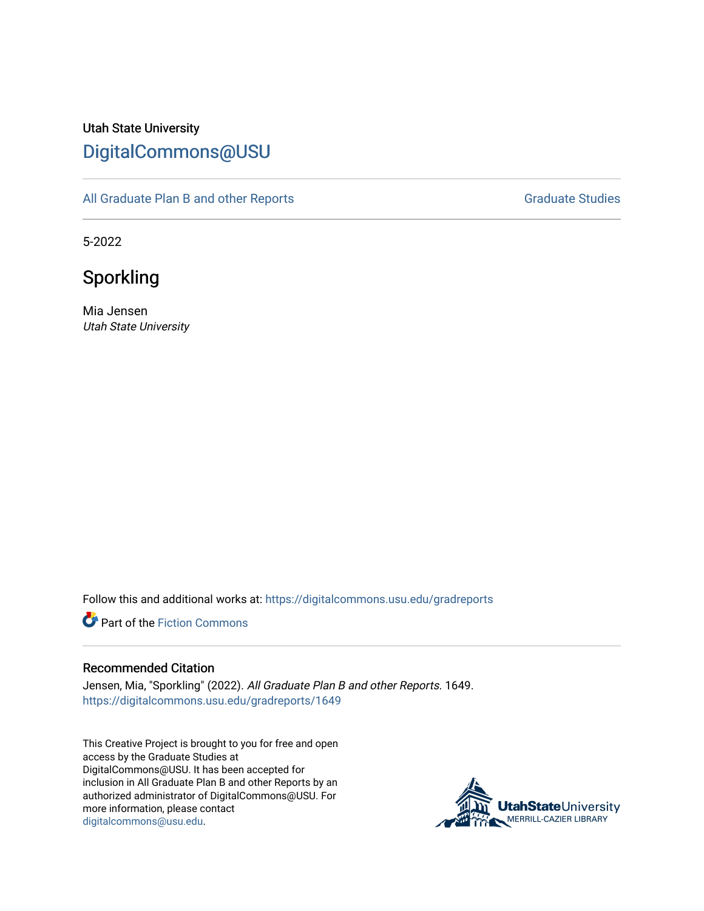# Utah State University [DigitalCommons@USU](https://digitalcommons.usu.edu/)

[All Graduate Plan B and other Reports](https://digitalcommons.usu.edu/gradreports) **Graduate Studies** Graduate Studies

5-2022

Sporkling

Mia Jensen Utah State University

Follow this and additional works at: [https://digitalcommons.usu.edu/gradreports](https://digitalcommons.usu.edu/gradreports?utm_source=digitalcommons.usu.edu%2Fgradreports%2F1649&utm_medium=PDF&utm_campaign=PDFCoverPages)

**P** Part of the Fiction Commons

#### Recommended Citation

Jensen, Mia, "Sporkling" (2022). All Graduate Plan B and other Reports. 1649. [https://digitalcommons.usu.edu/gradreports/1649](https://digitalcommons.usu.edu/gradreports/1649?utm_source=digitalcommons.usu.edu%2Fgradreports%2F1649&utm_medium=PDF&utm_campaign=PDFCoverPages) 

This Creative Project is brought to you for free and open access by the Graduate Studies at DigitalCommons@USU. It has been accepted for inclusion in All Graduate Plan B and other Reports by an authorized administrator of DigitalCommons@USU. For more information, please contact [digitalcommons@usu.edu.](mailto:digitalcommons@usu.edu)

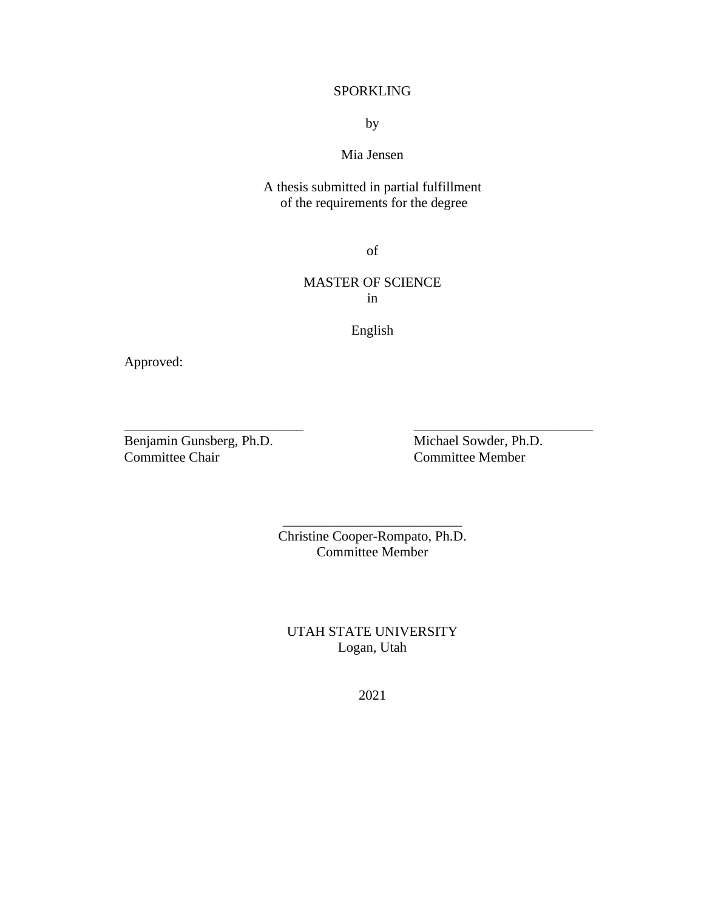# SPORKLING

by

# Mia Jensen

A thesis submitted in partial fulfillment of the requirements for the degree

of

# MASTER OF SCIENCE in

English

\_\_\_\_\_\_\_\_\_\_\_\_\_\_\_\_\_\_\_\_\_\_\_\_\_\_ \_\_\_\_\_\_\_\_\_\_\_\_\_\_\_\_\_\_\_\_\_\_\_\_\_\_

Approved:

Benjamin Gunsberg, Ph.D. Michael Sowder, Ph.D. Committee Chair Committee Member

Christine Cooper-Rompato, Ph.D. Committee Member

\_\_\_\_\_\_\_\_\_\_\_\_\_\_\_\_\_\_\_\_\_\_\_\_\_\_

UTAH STATE UNIVERSITY Logan, Utah

2021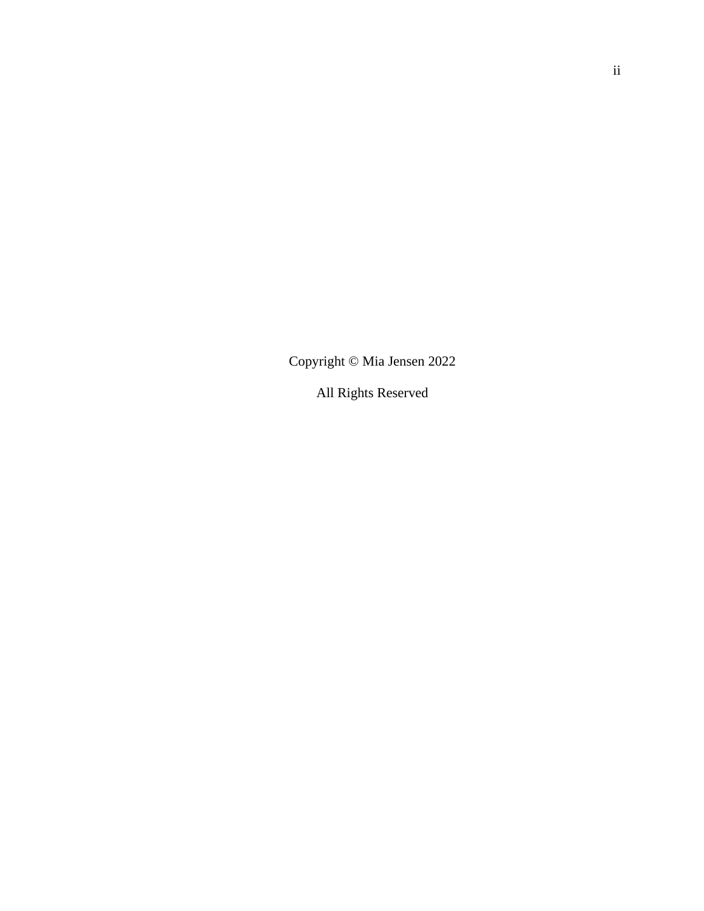Copyright © Mia Jensen 2022

All Rights Reserved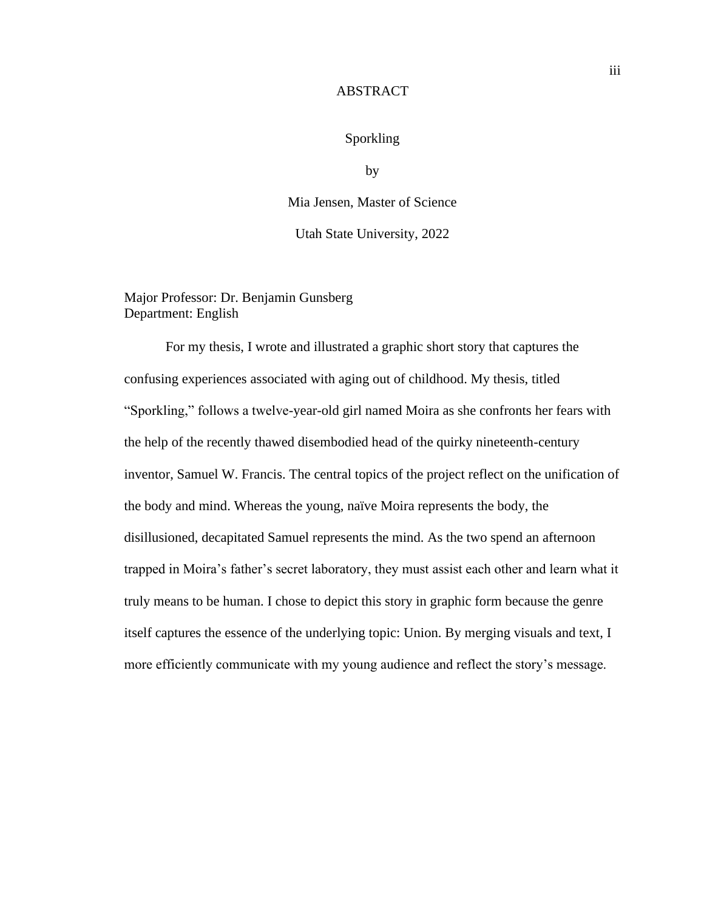#### ABSTRACT

## Sporkling

by

Mia Jensen, Master of Science

Utah State University, 2022

Major Professor: Dr. Benjamin Gunsberg Department: English

For my thesis, I wrote and illustrated a graphic short story that captures the confusing experiences associated with aging out of childhood. My thesis, titled "Sporkling," follows a twelve-year-old girl named Moira as she confronts her fears with the help of the recently thawed disembodied head of the quirky nineteenth-century inventor, Samuel W. Francis. The central topics of the project reflect on the unification of the body and mind. Whereas the young, naïve Moira represents the body, the disillusioned, decapitated Samuel represents the mind. As the two spend an afternoon trapped in Moira's father's secret laboratory, they must assist each other and learn what it truly means to be human. I chose to depict this story in graphic form because the genre itself captures the essence of the underlying topic: Union. By merging visuals and text, I more efficiently communicate with my young audience and reflect the story's message.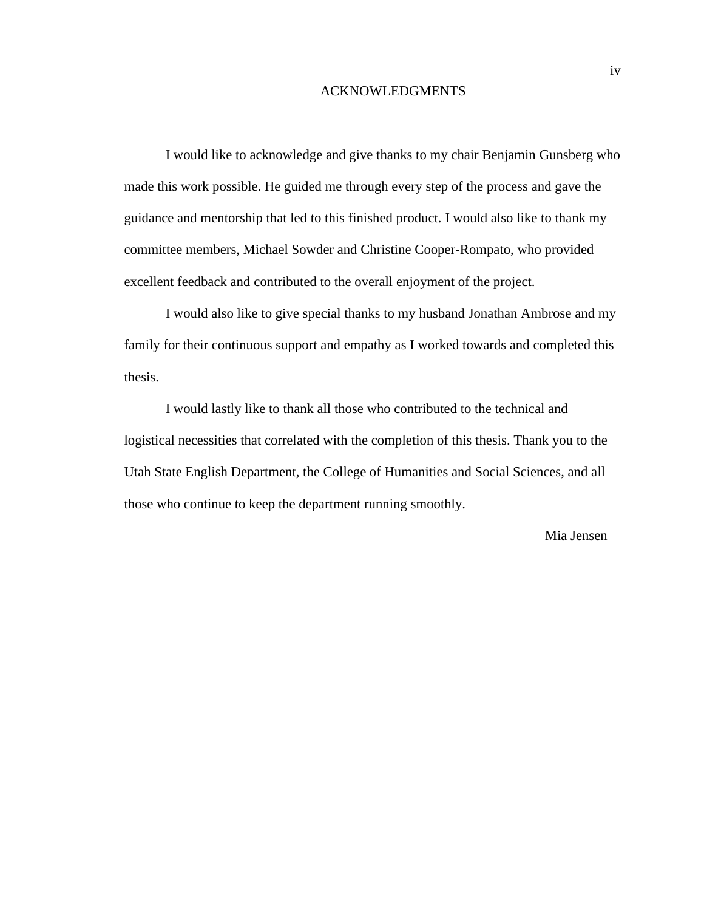#### ACKNOWLEDGMENTS

I would like to acknowledge and give thanks to my chair Benjamin Gunsberg who made this work possible. He guided me through every step of the process and gave the guidance and mentorship that led to this finished product. I would also like to thank my committee members, Michael Sowder and Christine Cooper-Rompato, who provided excellent feedback and contributed to the overall enjoyment of the project.

I would also like to give special thanks to my husband Jonathan Ambrose and my family for their continuous support and empathy as I worked towards and completed this thesis.

I would lastly like to thank all those who contributed to the technical and logistical necessities that correlated with the completion of this thesis. Thank you to the Utah State English Department, the College of Humanities and Social Sciences, and all those who continue to keep the department running smoothly.

Mia Jensen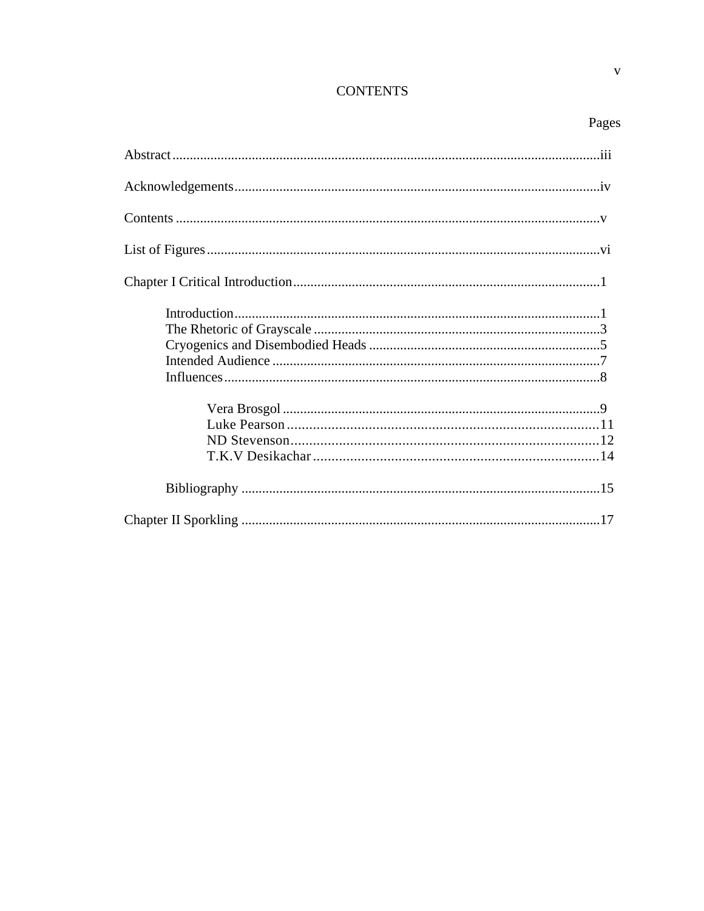# **CONTENTS**

# Pages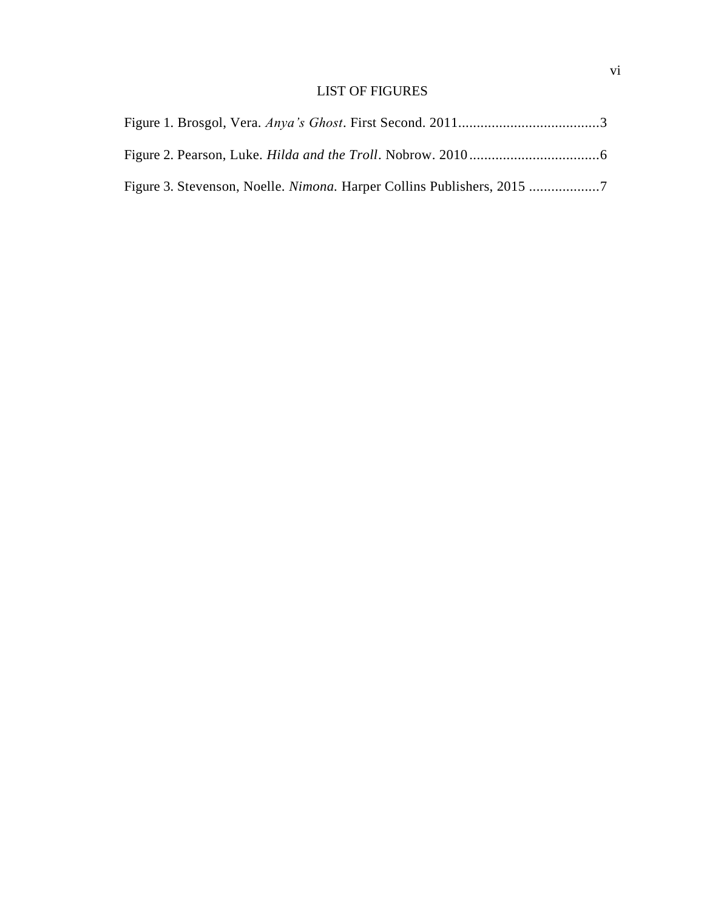# LIST OF FIGURES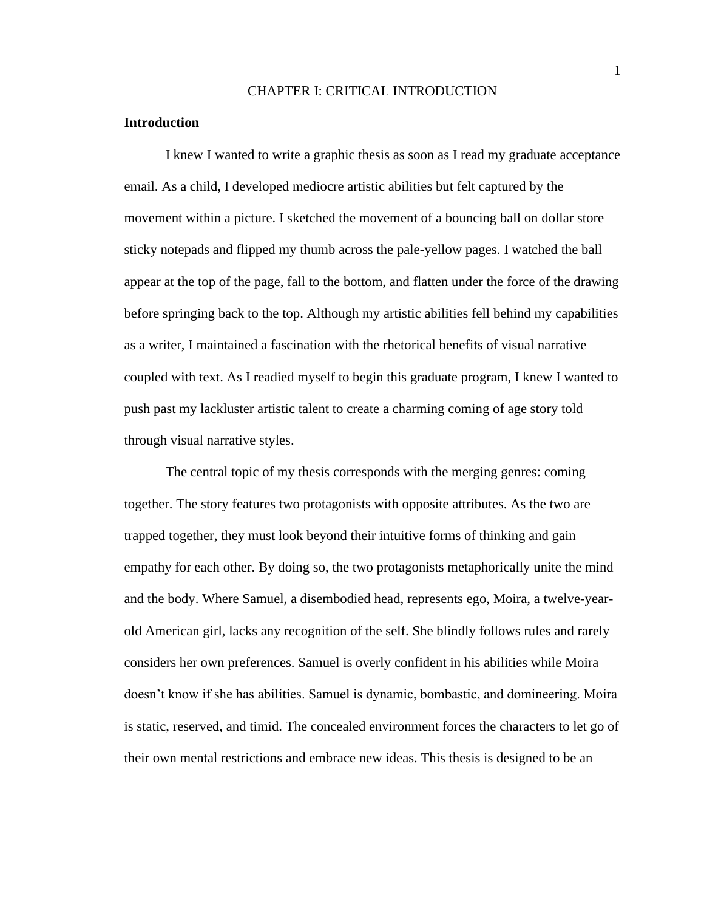#### CHAPTER I: CRITICAL INTRODUCTION

#### **Introduction**

I knew I wanted to write a graphic thesis as soon as I read my graduate acceptance email. As a child, I developed mediocre artistic abilities but felt captured by the movement within a picture. I sketched the movement of a bouncing ball on dollar store sticky notepads and flipped my thumb across the pale-yellow pages. I watched the ball appear at the top of the page, fall to the bottom, and flatten under the force of the drawing before springing back to the top. Although my artistic abilities fell behind my capabilities as a writer, I maintained a fascination with the rhetorical benefits of visual narrative coupled with text. As I readied myself to begin this graduate program, I knew I wanted to push past my lackluster artistic talent to create a charming coming of age story told through visual narrative styles.

The central topic of my thesis corresponds with the merging genres: coming together. The story features two protagonists with opposite attributes. As the two are trapped together, they must look beyond their intuitive forms of thinking and gain empathy for each other. By doing so, the two protagonists metaphorically unite the mind and the body. Where Samuel, a disembodied head, represents ego, Moira, a twelve-yearold American girl, lacks any recognition of the self. She blindly follows rules and rarely considers her own preferences. Samuel is overly confident in his abilities while Moira doesn't know if she has abilities. Samuel is dynamic, bombastic, and domineering. Moira is static, reserved, and timid. The concealed environment forces the characters to let go of their own mental restrictions and embrace new ideas. This thesis is designed to be an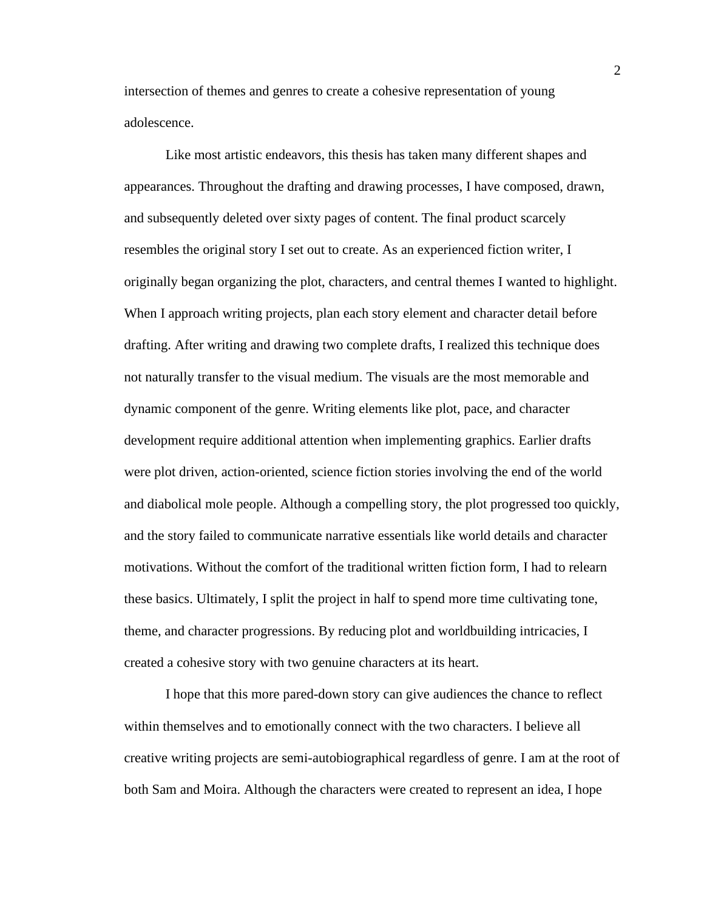intersection of themes and genres to create a cohesive representation of young adolescence.

Like most artistic endeavors, this thesis has taken many different shapes and appearances. Throughout the drafting and drawing processes, I have composed, drawn, and subsequently deleted over sixty pages of content. The final product scarcely resembles the original story I set out to create. As an experienced fiction writer, I originally began organizing the plot, characters, and central themes I wanted to highlight. When I approach writing projects, plan each story element and character detail before drafting. After writing and drawing two complete drafts, I realized this technique does not naturally transfer to the visual medium. The visuals are the most memorable and dynamic component of the genre. Writing elements like plot, pace, and character development require additional attention when implementing graphics. Earlier drafts were plot driven, action-oriented, science fiction stories involving the end of the world and diabolical mole people. Although a compelling story, the plot progressed too quickly, and the story failed to communicate narrative essentials like world details and character motivations. Without the comfort of the traditional written fiction form, I had to relearn these basics. Ultimately, I split the project in half to spend more time cultivating tone, theme, and character progressions. By reducing plot and worldbuilding intricacies, I created a cohesive story with two genuine characters at its heart.

I hope that this more pared-down story can give audiences the chance to reflect within themselves and to emotionally connect with the two characters. I believe all creative writing projects are semi-autobiographical regardless of genre. I am at the root of both Sam and Moira. Although the characters were created to represent an idea, I hope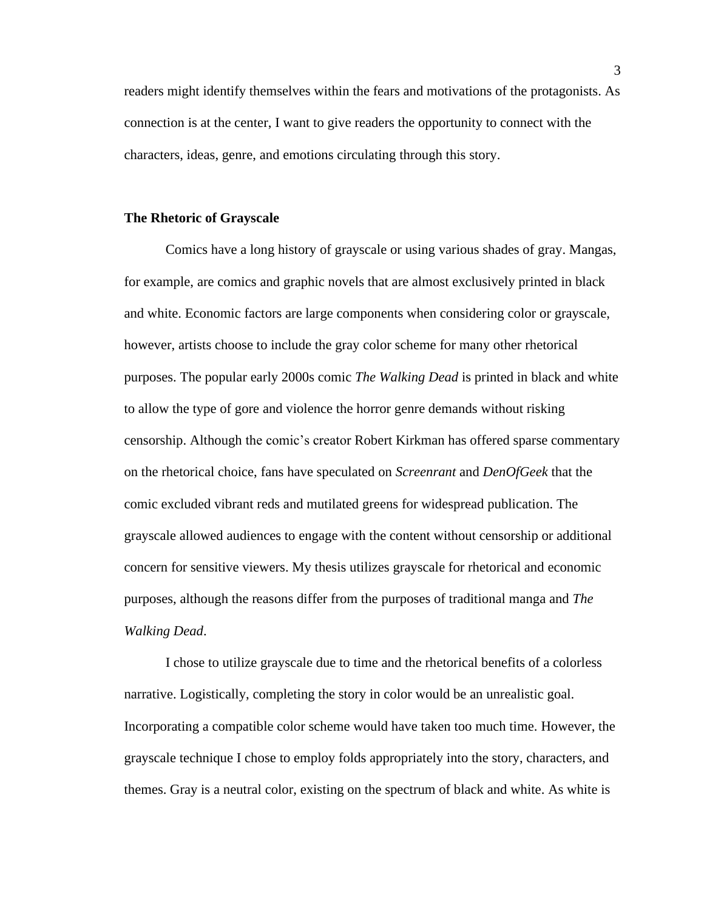readers might identify themselves within the fears and motivations of the protagonists. As connection is at the center, I want to give readers the opportunity to connect with the characters, ideas, genre, and emotions circulating through this story.

#### **The Rhetoric of Grayscale**

Comics have a long history of grayscale or using various shades of gray. Mangas, for example, are comics and graphic novels that are almost exclusively printed in black and white. Economic factors are large components when considering color or grayscale, however, artists choose to include the gray color scheme for many other rhetorical purposes. The popular early 2000s comic *The Walking Dead* is printed in black and white to allow the type of gore and violence the horror genre demands without risking censorship. Although the comic's creator Robert Kirkman has offered sparse commentary on the rhetorical choice, fans have speculated on *Screenrant* and *DenOfGeek* that the comic excluded vibrant reds and mutilated greens for widespread publication. The grayscale allowed audiences to engage with the content without censorship or additional concern for sensitive viewers. My thesis utilizes grayscale for rhetorical and economic purposes, although the reasons differ from the purposes of traditional manga and *The Walking Dead*.

I chose to utilize grayscale due to time and the rhetorical benefits of a colorless narrative. Logistically, completing the story in color would be an unrealistic goal. Incorporating a compatible color scheme would have taken too much time. However, the grayscale technique I chose to employ folds appropriately into the story, characters, and themes. Gray is a neutral color, existing on the spectrum of black and white. As white is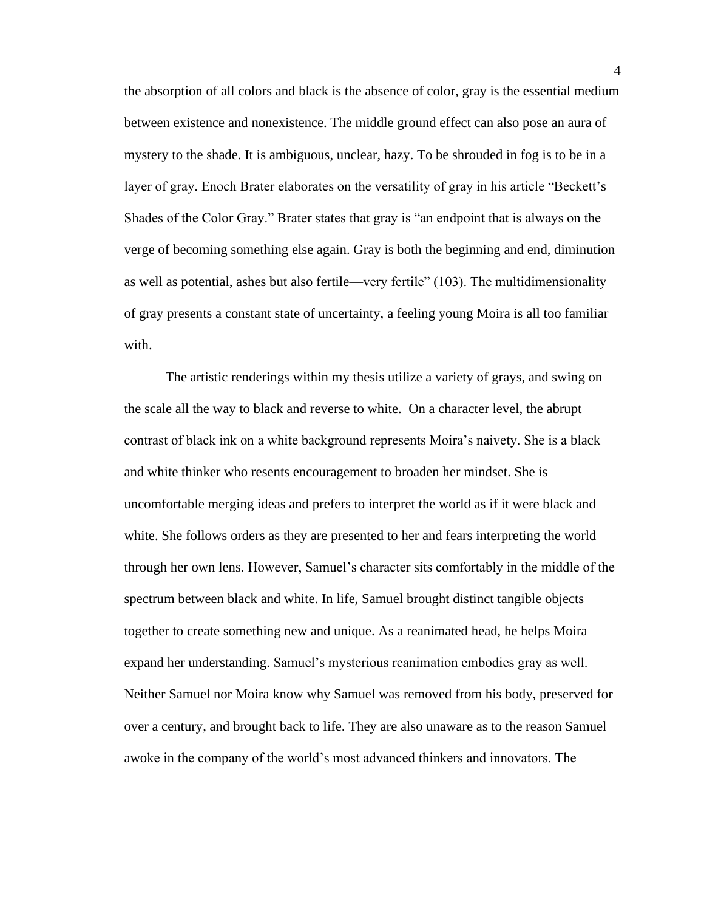the absorption of all colors and black is the absence of color, gray is the essential medium between existence and nonexistence. The middle ground effect can also pose an aura of mystery to the shade. It is ambiguous, unclear, hazy. To be shrouded in fog is to be in a layer of gray. Enoch Brater elaborates on the versatility of gray in his article "Beckett's Shades of the Color Gray." Brater states that gray is "an endpoint that is always on the verge of becoming something else again. Gray is both the beginning and end, diminution as well as potential, ashes but also fertile—very fertile" (103). The multidimensionality of gray presents a constant state of uncertainty, a feeling young Moira is all too familiar with.

The artistic renderings within my thesis utilize a variety of grays, and swing on the scale all the way to black and reverse to white. On a character level, the abrupt contrast of black ink on a white background represents Moira's naivety. She is a black and white thinker who resents encouragement to broaden her mindset. She is uncomfortable merging ideas and prefers to interpret the world as if it were black and white. She follows orders as they are presented to her and fears interpreting the world through her own lens. However, Samuel's character sits comfortably in the middle of the spectrum between black and white. In life, Samuel brought distinct tangible objects together to create something new and unique. As a reanimated head, he helps Moira expand her understanding. Samuel's mysterious reanimation embodies gray as well. Neither Samuel nor Moira know why Samuel was removed from his body, preserved for over a century, and brought back to life. They are also unaware as to the reason Samuel awoke in the company of the world's most advanced thinkers and innovators. The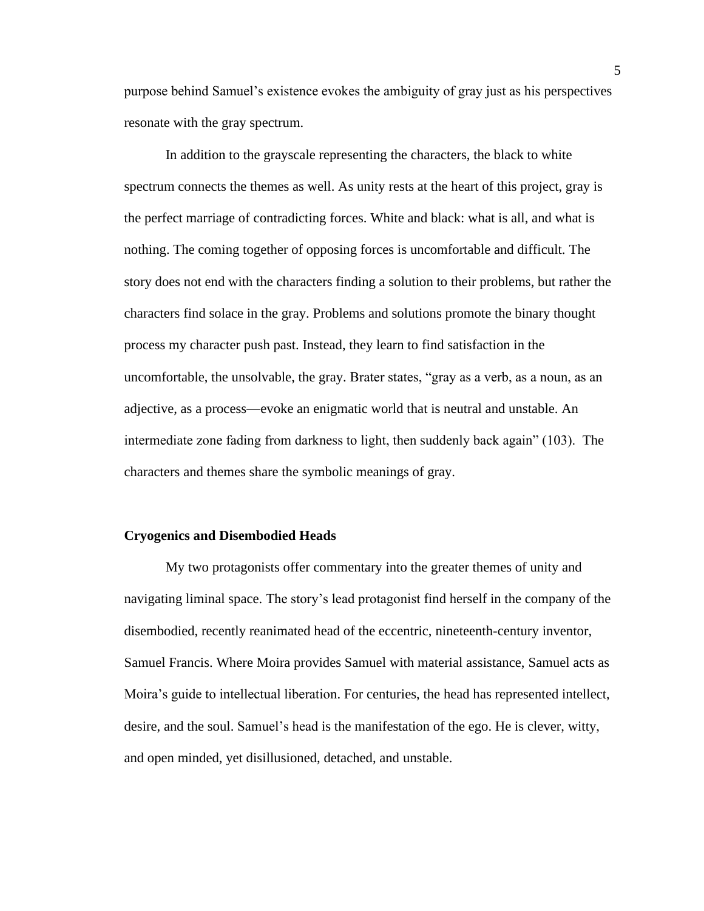purpose behind Samuel's existence evokes the ambiguity of gray just as his perspectives resonate with the gray spectrum.

In addition to the grayscale representing the characters, the black to white spectrum connects the themes as well. As unity rests at the heart of this project, gray is the perfect marriage of contradicting forces. White and black: what is all, and what is nothing. The coming together of opposing forces is uncomfortable and difficult. The story does not end with the characters finding a solution to their problems, but rather the characters find solace in the gray. Problems and solutions promote the binary thought process my character push past. Instead, they learn to find satisfaction in the uncomfortable, the unsolvable, the gray. Brater states, "gray as a verb, as a noun, as an adjective, as a process—evoke an enigmatic world that is neutral and unstable. An intermediate zone fading from darkness to light, then suddenly back again" (103). The characters and themes share the symbolic meanings of gray.

#### **Cryogenics and Disembodied Heads**

My two protagonists offer commentary into the greater themes of unity and navigating liminal space. The story's lead protagonist find herself in the company of the disembodied, recently reanimated head of the eccentric, nineteenth-century inventor, Samuel Francis. Where Moira provides Samuel with material assistance, Samuel acts as Moira's guide to intellectual liberation. For centuries, the head has represented intellect, desire, and the soul. Samuel's head is the manifestation of the ego. He is clever, witty, and open minded, yet disillusioned, detached, and unstable.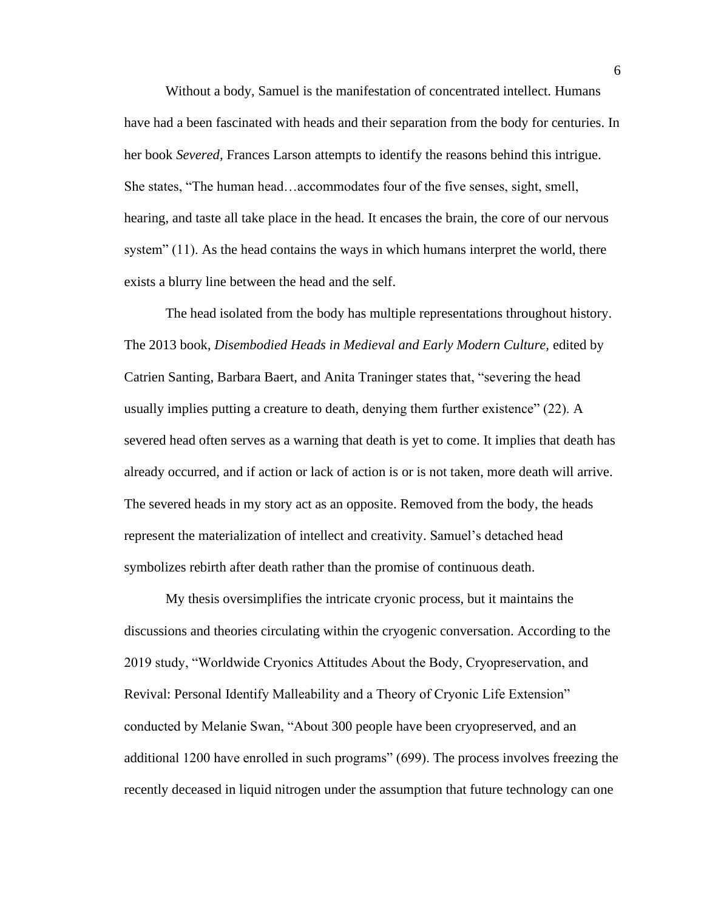Without a body, Samuel is the manifestation of concentrated intellect. Humans have had a been fascinated with heads and their separation from the body for centuries. In her book *Severed,* Frances Larson attempts to identify the reasons behind this intrigue. She states, "The human head…accommodates four of the five senses, sight, smell, hearing, and taste all take place in the head. It encases the brain, the core of our nervous system" (11). As the head contains the ways in which humans interpret the world, there exists a blurry line between the head and the self.

The head isolated from the body has multiple representations throughout history. The 2013 book, *Disembodied Heads in Medieval and Early Modern Culture,* edited by Catrien Santing, Barbara Baert, and Anita Traninger states that, "severing the head usually implies putting a creature to death, denying them further existence" (22). A severed head often serves as a warning that death is yet to come. It implies that death has already occurred, and if action or lack of action is or is not taken, more death will arrive. The severed heads in my story act as an opposite. Removed from the body, the heads represent the materialization of intellect and creativity. Samuel's detached head symbolizes rebirth after death rather than the promise of continuous death.

My thesis oversimplifies the intricate cryonic process, but it maintains the discussions and theories circulating within the cryogenic conversation. According to the 2019 study, "Worldwide Cryonics Attitudes About the Body, Cryopreservation, and Revival: Personal Identify Malleability and a Theory of Cryonic Life Extension" conducted by Melanie Swan, "About 300 people have been cryopreserved, and an additional 1200 have enrolled in such programs" (699). The process involves freezing the recently deceased in liquid nitrogen under the assumption that future technology can one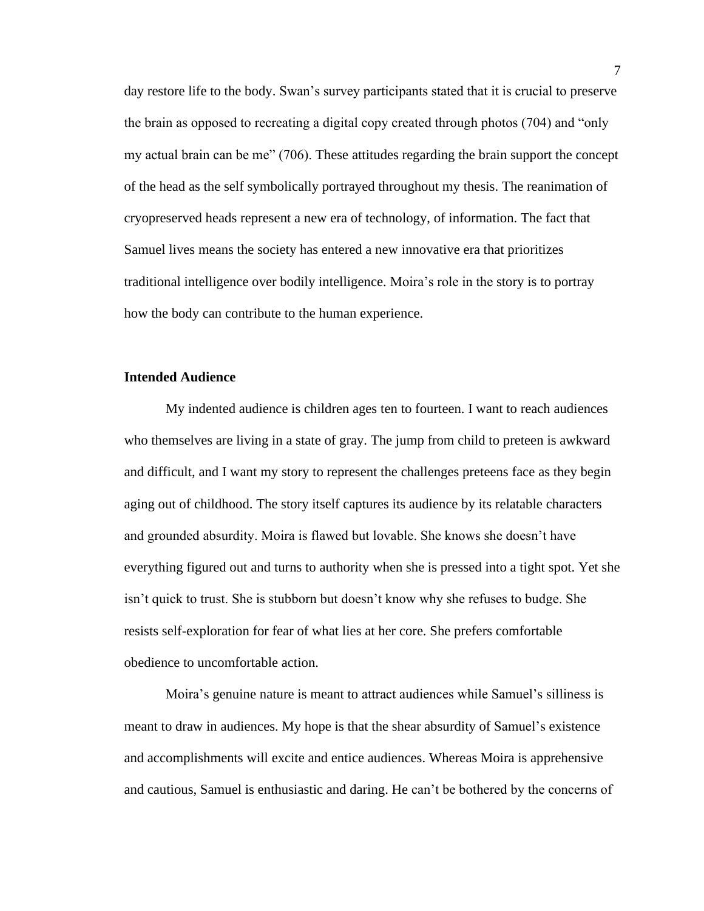day restore life to the body. Swan's survey participants stated that it is crucial to preserve the brain as opposed to recreating a digital copy created through photos (704) and "only my actual brain can be me" (706). These attitudes regarding the brain support the concept of the head as the self symbolically portrayed throughout my thesis. The reanimation of cryopreserved heads represent a new era of technology, of information. The fact that Samuel lives means the society has entered a new innovative era that prioritizes traditional intelligence over bodily intelligence. Moira's role in the story is to portray how the body can contribute to the human experience.

## **Intended Audience**

My indented audience is children ages ten to fourteen. I want to reach audiences who themselves are living in a state of gray. The jump from child to preteen is awkward and difficult, and I want my story to represent the challenges preteens face as they begin aging out of childhood. The story itself captures its audience by its relatable characters and grounded absurdity. Moira is flawed but lovable. She knows she doesn't have everything figured out and turns to authority when she is pressed into a tight spot. Yet she isn't quick to trust. She is stubborn but doesn't know why she refuses to budge. She resists self-exploration for fear of what lies at her core. She prefers comfortable obedience to uncomfortable action.

Moira's genuine nature is meant to attract audiences while Samuel's silliness is meant to draw in audiences. My hope is that the shear absurdity of Samuel's existence and accomplishments will excite and entice audiences. Whereas Moira is apprehensive and cautious, Samuel is enthusiastic and daring. He can't be bothered by the concerns of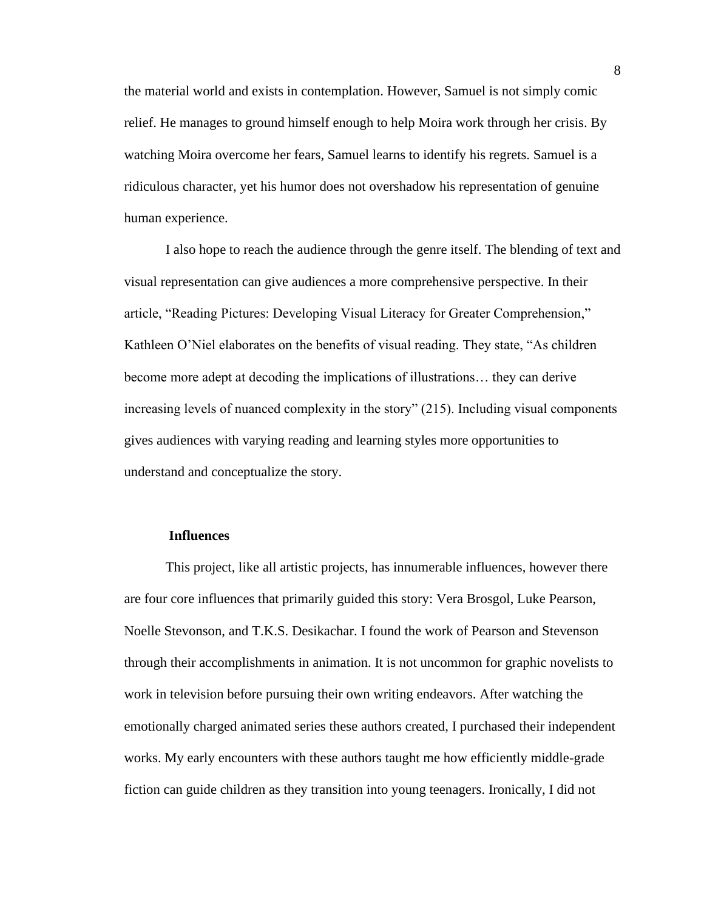the material world and exists in contemplation. However, Samuel is not simply comic relief. He manages to ground himself enough to help Moira work through her crisis. By watching Moira overcome her fears, Samuel learns to identify his regrets. Samuel is a ridiculous character, yet his humor does not overshadow his representation of genuine human experience.

I also hope to reach the audience through the genre itself. The blending of text and visual representation can give audiences a more comprehensive perspective. In their article, "Reading Pictures: Developing Visual Literacy for Greater Comprehension," Kathleen O'Niel elaborates on the benefits of visual reading. They state, "As children become more adept at decoding the implications of illustrations… they can derive increasing levels of nuanced complexity in the story" (215). Including visual components gives audiences with varying reading and learning styles more opportunities to understand and conceptualize the story.

#### **Influences**

This project, like all artistic projects, has innumerable influences, however there are four core influences that primarily guided this story: Vera Brosgol, Luke Pearson, Noelle Stevonson, and T.K.S. Desikachar. I found the work of Pearson and Stevenson through their accomplishments in animation. It is not uncommon for graphic novelists to work in television before pursuing their own writing endeavors. After watching the emotionally charged animated series these authors created, I purchased their independent works. My early encounters with these authors taught me how efficiently middle-grade fiction can guide children as they transition into young teenagers. Ironically, I did not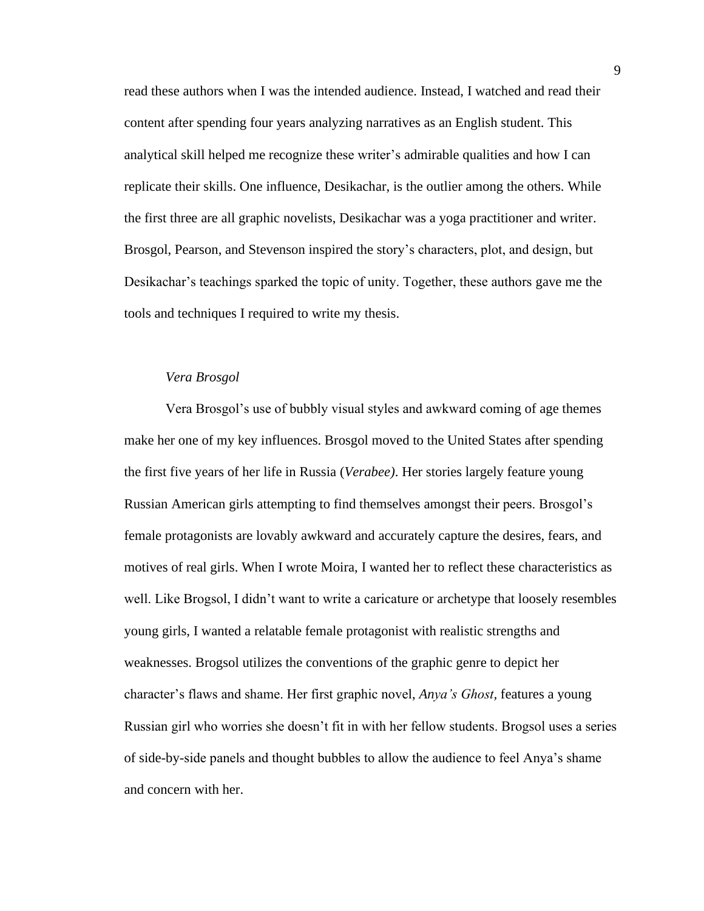read these authors when I was the intended audience. Instead, I watched and read their content after spending four years analyzing narratives as an English student. This analytical skill helped me recognize these writer's admirable qualities and how I can replicate their skills. One influence, Desikachar, is the outlier among the others. While the first three are all graphic novelists, Desikachar was a yoga practitioner and writer. Brosgol, Pearson, and Stevenson inspired the story's characters, plot, and design, but Desikachar's teachings sparked the topic of unity. Together, these authors gave me the tools and techniques I required to write my thesis.

#### *Vera Brosgol*

Vera Brosgol's use of bubbly visual styles and awkward coming of age themes make her one of my key influences. Brosgol moved to the United States after spending the first five years of her life in Russia (*Verabee)*. Her stories largely feature young Russian American girls attempting to find themselves amongst their peers. Brosgol's female protagonists are lovably awkward and accurately capture the desires, fears, and motives of real girls. When I wrote Moira, I wanted her to reflect these characteristics as well. Like Brogsol, I didn't want to write a caricature or archetype that loosely resembles young girls, I wanted a relatable female protagonist with realistic strengths and weaknesses. Brogsol utilizes the conventions of the graphic genre to depict her character's flaws and shame. Her first graphic novel, *Anya's Ghost,* features a young Russian girl who worries she doesn't fit in with her fellow students. Brogsol uses a series of side-by-side panels and thought bubbles to allow the audience to feel Anya's shame and concern with her.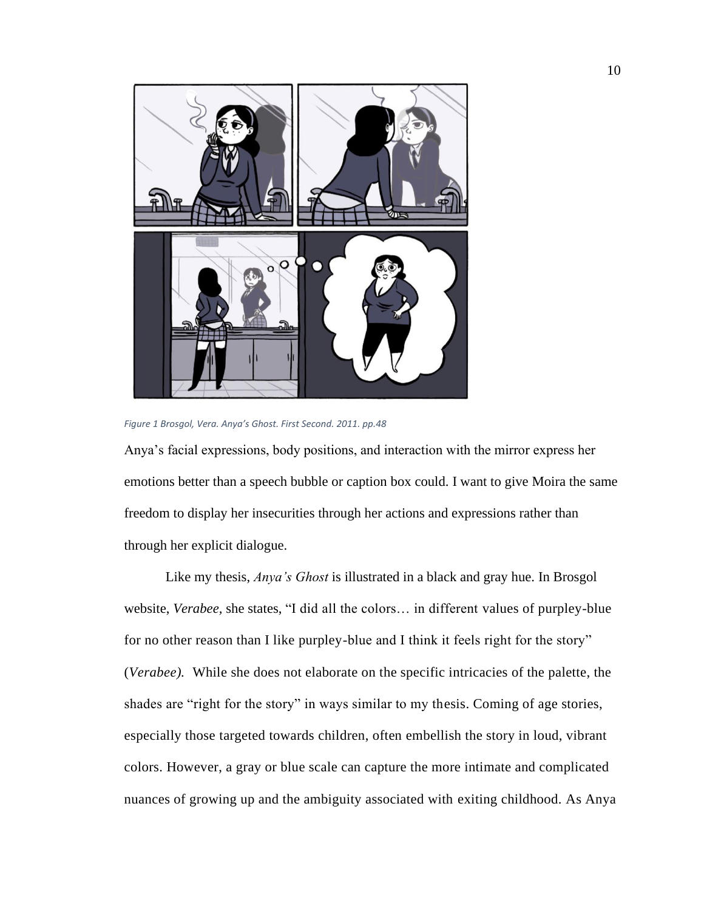

*Figure 1 Brosgol, Vera. Anya's Ghost. First Second. 2011. pp.48*

Anya's facial expressions, body positions, and interaction with the mirror express her emotions better than a speech bubble or caption box could. I want to give Moira the same freedom to display her insecurities through her actions and expressions rather than through her explicit dialogue.

Like my thesis, *Anya's Ghost* is illustrated in a black and gray hue. In Brosgol website, *Verabee,* she states, "I did all the colors… in different values of purpley-blue for no other reason than I like purpley-blue and I think it feels right for the story" (*Verabee).* While she does not elaborate on the specific intricacies of the palette, the shades are "right for the story" in ways similar to my thesis. Coming of age stories, especially those targeted towards children, often embellish the story in loud, vibrant colors. However, a gray or blue scale can capture the more intimate and complicated nuances of growing up and the ambiguity associated with exiting childhood. As Anya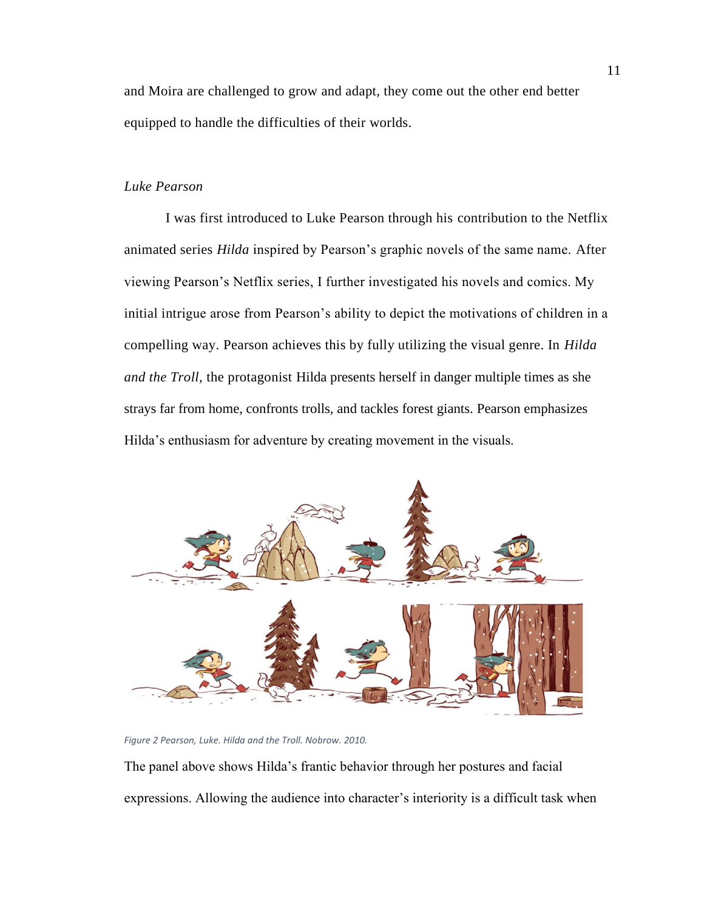and Moira are challenged to grow and adapt, they come out the other end better equipped to handle the difficulties of their worlds.

# *Luke Pearson*

I was first introduced to Luke Pearson through his contribution to the Netflix animated series *Hilda* inspired by Pearson's graphic novels of the same name. After viewing Pearson's Netflix series, I further investigated his novels and comics. My initial intrigue arose from Pearson's ability to depict the motivations of children in a compelling way. Pearson achieves this by fully utilizing the visual genre. In *Hilda and the Troll,* the protagonist Hilda presents herself in danger multiple times as she strays far from home, confronts trolls, and tackles forest giants. Pearson emphasizes Hilda's enthusiasm for adventure by creating movement in the visuals.



*Figure 2 Pearson, Luke. Hilda and the Troll. Nobrow. 2010.*

The panel above shows Hilda's frantic behavior through her postures and facial expressions. Allowing the audience into character's interiority is a difficult task when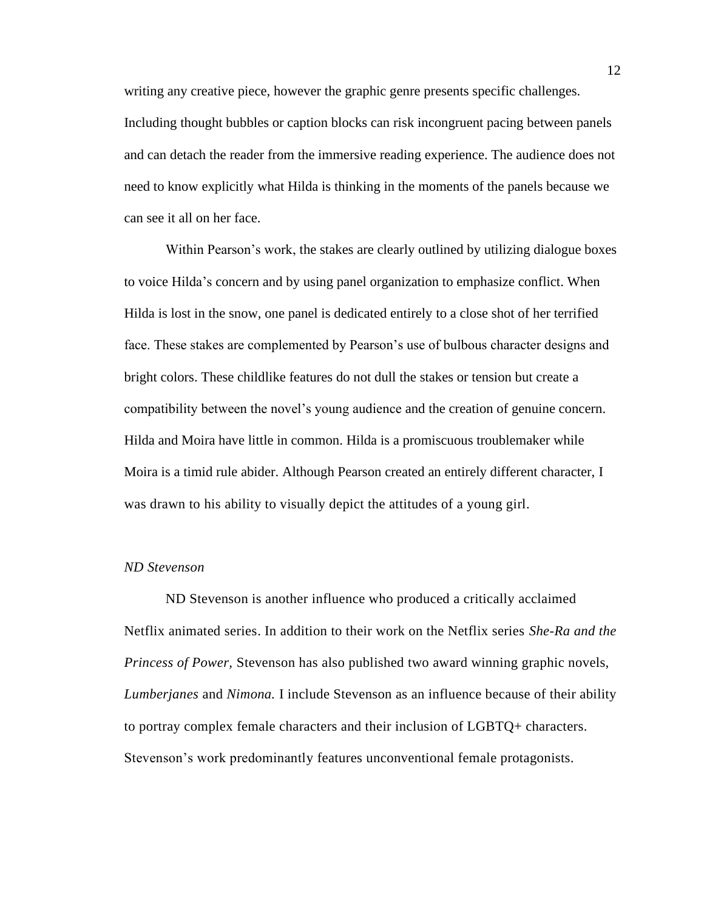writing any creative piece, however the graphic genre presents specific challenges. Including thought bubbles or caption blocks can risk incongruent pacing between panels and can detach the reader from the immersive reading experience. The audience does not need to know explicitly what Hilda is thinking in the moments of the panels because we can see it all on her face.

Within Pearson's work, the stakes are clearly outlined by utilizing dialogue boxes to voice Hilda's concern and by using panel organization to emphasize conflict. When Hilda is lost in the snow, one panel is dedicated entirely to a close shot of her terrified face. These stakes are complemented by Pearson's use of bulbous character designs and bright colors. These childlike features do not dull the stakes or tension but create a compatibility between the novel's young audience and the creation of genuine concern. Hilda and Moira have little in common. Hilda is a promiscuous troublemaker while Moira is a timid rule abider. Although Pearson created an entirely different character, I was drawn to his ability to visually depict the attitudes of a young girl.

#### *ND Stevenson*

ND Stevenson is another influence who produced a critically acclaimed Netflix animated series. In addition to their work on the Netflix series *She-Ra and the Princess of Power,* Stevenson has also published two award winning graphic novels, *Lumberjanes* and *Nimona.* I include Stevenson as an influence because of their ability to portray complex female characters and their inclusion of LGBTQ+ characters. Stevenson's work predominantly features unconventional female protagonists.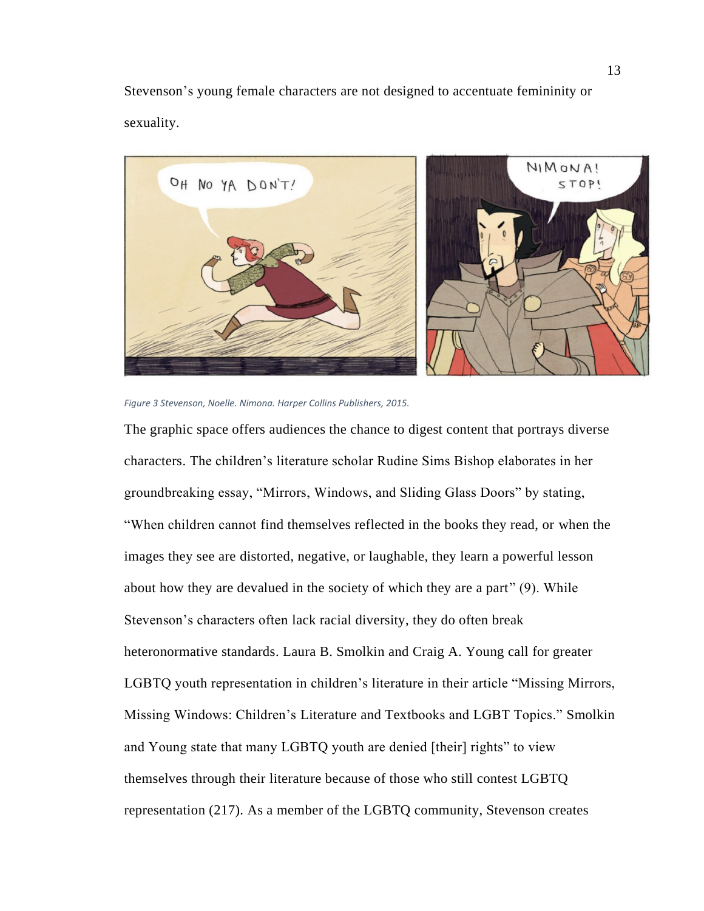Stevenson's young female characters are not designed to accentuate femininity or sexuality.



*Figure 3 Stevenson, Noelle. Nimona. Harper Collins Publishers, 2015.*

The graphic space offers audiences the chance to digest content that portrays diverse characters. The children's literature scholar Rudine Sims Bishop elaborates in her groundbreaking essay, "Mirrors, Windows, and Sliding Glass Doors" by stating, "When children cannot find themselves reflected in the books they read, or when the images they see are distorted, negative, or laughable, they learn a powerful lesson about how they are devalued in the society of which they are a part" (9). While Stevenson's characters often lack racial diversity, they do often break heteronormative standards. Laura B. Smolkin and Craig A. Young call for greater LGBTQ youth representation in children's literature in their article "Missing Mirrors, Missing Windows: Children's Literature and Textbooks and LGBT Topics." Smolkin and Young state that many LGBTQ youth are denied [their] rights" to view themselves through their literature because of those who still contest LGBTQ representation (217). As a member of the LGBTQ community, Stevenson creates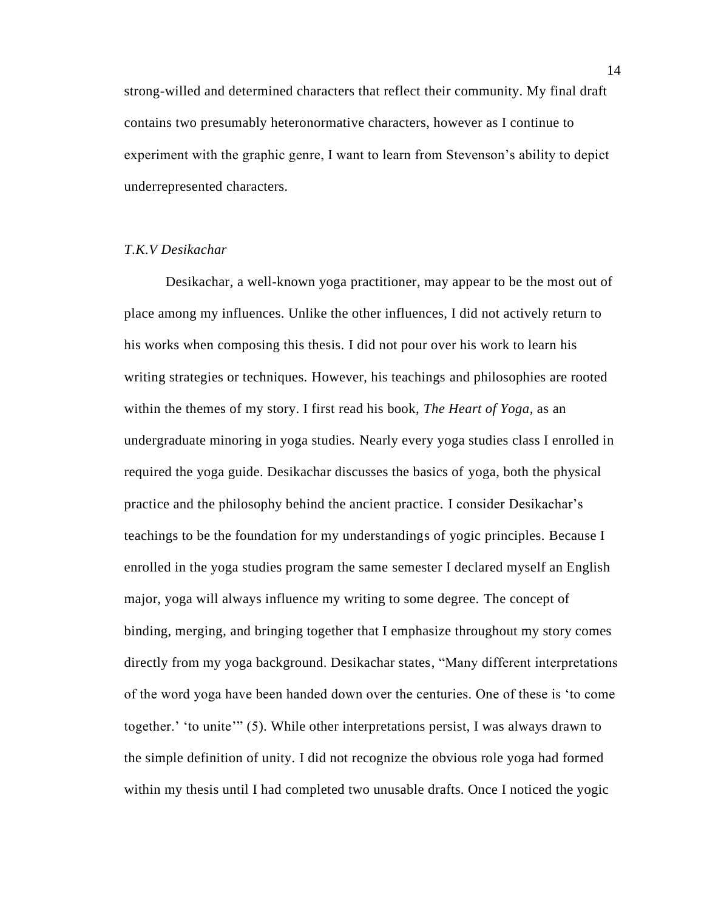strong-willed and determined characters that reflect their community. My final draft contains two presumably heteronormative characters, however as I continue to experiment with the graphic genre, I want to learn from Stevenson's ability to depict underrepresented characters.

## *T.K.V Desikachar*

Desikachar, a well-known yoga practitioner, may appear to be the most out of place among my influences. Unlike the other influences, I did not actively return to his works when composing this thesis. I did not pour over his work to learn his writing strategies or techniques. However, his teachings and philosophies are rooted within the themes of my story. I first read his book, *The Heart of Yoga,* as an undergraduate minoring in yoga studies. Nearly every yoga studies class I enrolled in required the yoga guide. Desikachar discusses the basics of yoga, both the physical practice and the philosophy behind the ancient practice. I consider Desikachar's teachings to be the foundation for my understandings of yogic principles. Because I enrolled in the yoga studies program the same semester I declared myself an English major, yoga will always influence my writing to some degree. The concept of binding, merging, and bringing together that I emphasize throughout my story comes directly from my yoga background. Desikachar states, "Many different interpretations of the word yoga have been handed down over the centuries. One of these is 'to come together.' 'to unite'" (5). While other interpretations persist, I was always drawn to the simple definition of unity. I did not recognize the obvious role yoga had formed within my thesis until I had completed two unusable drafts. Once I noticed the yogic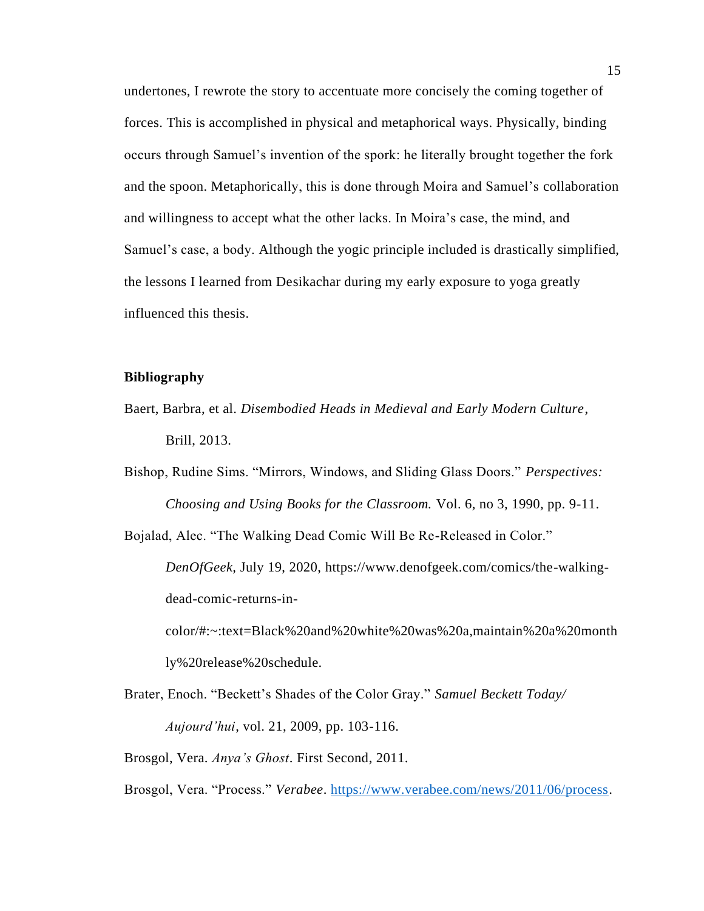undertones, I rewrote the story to accentuate more concisely the coming together of forces. This is accomplished in physical and metaphorical ways. Physically, binding occurs through Samuel's invention of the spork: he literally brought together the fork and the spoon. Metaphorically, this is done through Moira and Samuel's collaboration and willingness to accept what the other lacks. In Moira's case, the mind, and Samuel's case, a body. Although the yogic principle included is drastically simplified, the lessons I learned from Desikachar during my early exposure to yoga greatly influenced this thesis.

## **Bibliography**

- Baert, Barbra, et al. *Disembodied Heads in Medieval and Early Modern Culture*, Brill, 2013.
- Bishop, Rudine Sims. "Mirrors, Windows, and Sliding Glass Doors." *Perspectives: Choosing and Using Books for the Classroom.* Vol. 6, no 3, 1990, pp. 9-11.

Bojalad, Alec. "The Walking Dead Comic Will Be Re-Released in Color." *DenOfGeek,* July 19, 2020, https://www.denofgeek.com/comics/the-walkingdead-comic-returns-incolor/#:~:text=Black%20and%20white%20was%20a,maintain%20a%20month ly%20release%20schedule.

Brater, Enoch. "Beckett's Shades of the Color Gray." *Samuel Beckett Today/ Aujourd'hui*, vol. 21, 2009, pp. 103-116.

Brosgol, Vera. *Anya's Ghost*. First Second, 2011.

Brosgol, Vera. "Process." *Verabee*. [https://www.verabee.com/news/2011/06/process.](https://www.verabee.com/news/2011/06/process)